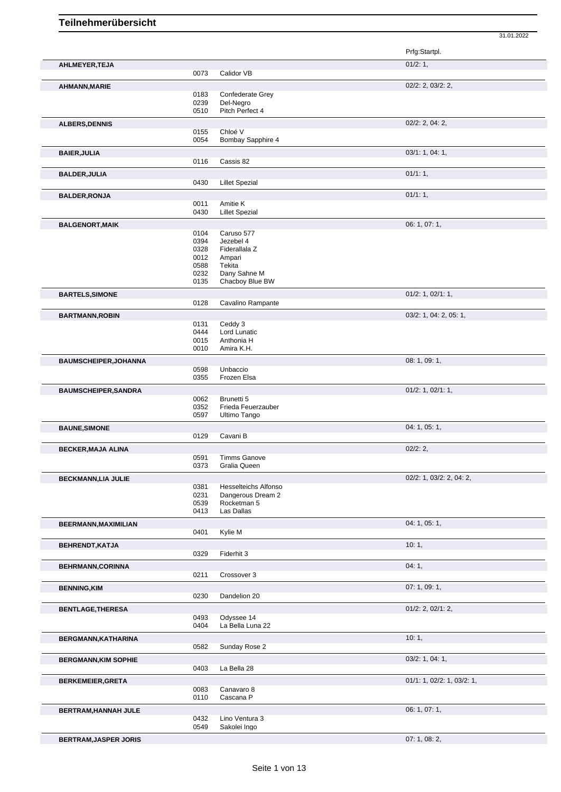Prfg:Startpl. **AHLMEYER,TEJA** 01/2: 1, 0073 Calidor VB **AHMANN,MARIE** 02/2: 2, 03/2: 2, 0183 Confederate Grey<br>0239 Del-Negro 0239 Del-Negro<br>0510 Pitch Perfe Pitch Perfect 4 **ALBERS,DENNIS** 02/2: 2, 04: 2, 0155 Chloé V<br>0054 Bombay Bombay Sapphire 4 **BAIER,JULIA** 03/1: 1, 04: 1, 0116 Cassis 82 **BALDER,JULIA** 01/1: 1, 0430 Lillet Spezial 01/1: 1, 0430 Director of the United States of the United States 01/1: 1, Lillet Spezial **BALDER,RONJA** 01/1: 1, 0011 Amitie K 0011 **DESIGNERS** 0011 Amitie K<br>0430 Lillet Spe **Lillet Spezial BALGENORT,MAIK** 06: 1, 07: 1, 0104 Caruso 577<br>0394 Jezebel 4 0394 Jezebel 4<br>0328 Fiderallala 0328 Fiderallala Z<br>0012 Ampari Ampari 0588 Tekita 0232 Dany Sahne M 0135 Chacboy Blue BW **BARTELS, SIMONE DESCRIPTION OF A 2008 CONTROL DESCRIPTION OF A 2009 CONTROL OF A 2009 CONTROL OF A 2009 CONTROL OF A 2009 CONTROL OF A 2009 CONTROL OF A 2009 CONTROL OF A 2009 CONTROL OF A 2009 CONTROL OF A 2009 CONTR** 0128 Cavalino Rampante **BARTMANN,ROBIN** 03/2: 1, 04: 2, 05: 1, 0131 Ceddy 3<br>0444 Lord Lun 0444 Lord Lunatic<br>0015 Anthonia H 0015 Anthonia H<br>0010 Amira K.H. Amira K.H. **BAUMSCHEIPER, JOHANNA** 08: 1, 09: 1, 09: 1, 09: 1, 09: 1, 09: 1, 09: 1, 09: 1, 09: 1, 09: 1, 09: 1, 09: 1, 09: 1, 09: 1, 09: 1, 09: 1, 09: 1, 09: 1, 09: 1, 09: 1, 09: 1, 09: 1, 09: 1, 09: 1, 09: 1, 09: 1, 09: 1, 09: 1, 09 0598 Unbaccio<br>0355 Frozen El Frozen Elsa **BAUMSCHEIPER, SANDRA** 01/2: 1, 02/1: 1, 0062 Brunetti 5<br>0352 Frieda Fer 0352 Frieda Feuerzauber<br>0597 Ultimo Tango Ultimo Tango **BAUNE, SIMONE** 04: 1, 05: 1, 0129 Cavani B **BECKER,MAJA ALINA** 02/2: 2, 0591 Timms Ganove<br>0373 Gralia Queen Gralia Queen **BECKMANN,LIA JULIE** 0381 Hesselteichs Alfonso 02/2: 1, 03/2: 2, 04: 2, 04: 2, 04: 2, 04: 2, 04: 2, 04: 2, 05/2: 2, 04: 2, 05/2: 1, 03/2: 2, 04: 2, 05/2: 1, 03/2: 2, 04: 2, 05/2: 05/2: 05/2: 05/2: 05/2: 05/2: 05/2: 05/2: 0 Hesselteichs Alfonso 0231 Dangerous Dream 2 0539 Rocketman 5 0413 Las Dallas **BEERMANN,MAXIMILIAN** 04: 1, 05: 1, 0401 Kylie M **BEHRENDT,KATJA** 10: 1, 0329 Fiderhit 3 **BEHRMANN,CORINNA** 04: 1, 04: 1, 04: 1, 04: 1, 04: 1, 04: 1, 04: 1, 04: 1, 04: 1, 04: 1, 04: 1, 04: 1, 04: 1, 04: 1, 04: 1, 04: 1, 04: 1, 04: 1, 04: 1, 04: 1, 04: 1, 04: 1, 04: 1, 04: 1, 04: 1, 04: 1, 04: 1, 04: 1, 04: 1, 0211 Crossover 3 **BENNING,KIM** 07: 1, 09: 1, 0230 Dandelion 20 **BENTLAGE, THERESA** 01/2: 2, 02/1: 2, 02/1: 2, 02/1: 2, 02/1: 2, 04/93 0dyssee 14 0493 Odyssee 14<br>0404 La Bella Lur La Bella Luna 22 **BERGMANN,KATHARINA** 10: 1, Sunday Rose 2 **BERGMANN,KIM SOPHIE** 03/2: 1, 04: 1, 0403 La Bella 28 **BERKEMEIER,GRETA** 0083 Canavaro 8 0083 Canavaro 8 01/1: 1, 02/2: 1, 03/2: 1, 03/2: 1, 03/2: 1, 03/2: 1, 03/2: 1, 03/2: 1, 03/2: 1, 03/2: 1, 03/2: 1, 03/2: 1, 03/2: 1, 03/2: 1, 03/2: 1, 03/2: 1, 03/2: 1, 03/2: 1, 03/2: 1, Canavaro 8 0110 Cascana P **BERTRAM,HANNAH JULE** 0432 Lino Ventura 3 06: 1, 07: 1, 0432 Lino Ventura 3<br>0549 Sakolei Ingo Sakolei Ingo

31.01.2022

**BERTRAM,JASPER JORIS DESCRIPTION OF A SECOND PROPERTY OF A SECOND PROPERTY OF A SECOND PROPERTY OF A SECOND PROPERTY OF A SECOND PROPERTY OF A SECOND PROPERTY OF A SECOND PROPERTY OF A SECOND PROPERTY OF A SECOND PROPER**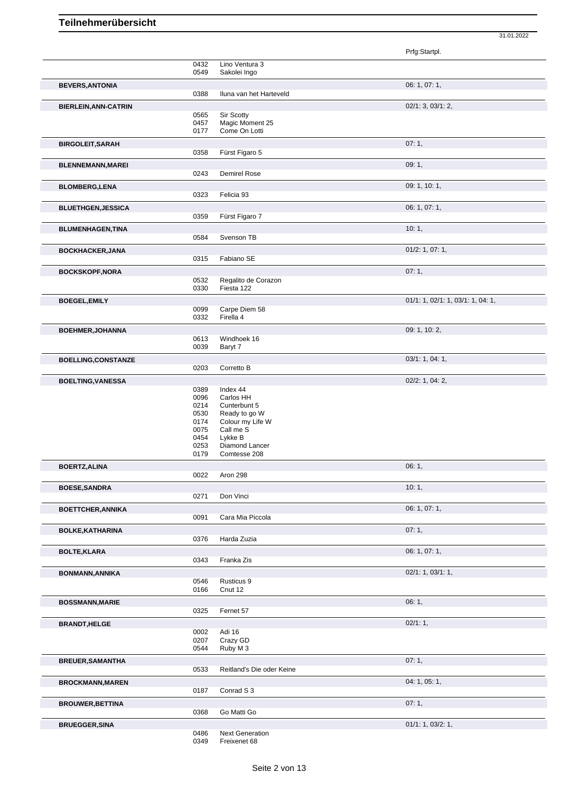|                             |              |                                   | 31.01.2022                        |  |
|-----------------------------|--------------|-----------------------------------|-----------------------------------|--|
|                             |              |                                   | Prfg:Startpl.                     |  |
|                             | 0432         | Lino Ventura 3                    |                                   |  |
|                             | 0549         | Sakolei Ingo                      |                                   |  |
| <b>BEVERS, ANTONIA</b>      | 0388         | Iluna van het Harteveld           | 06: 1, 07: 1,                     |  |
| <b>BIERLEIN, ANN-CATRIN</b> |              |                                   | 02/1: 3, 03/1: 2,                 |  |
|                             | 0565         | Sir Scotty                        |                                   |  |
|                             | 0457<br>0177 | Magic Moment 25<br>Come On Lotti  |                                   |  |
| <b>BIRGOLEIT, SARAH</b>     |              |                                   | 07:1,                             |  |
|                             | 0358         | Fürst Figaro 5                    |                                   |  |
| <b>BLENNEMANN, MAREI</b>    |              |                                   | 09:1,                             |  |
|                             | 0243         | Demirel Rose                      |                                   |  |
| <b>BLOMBERG,LENA</b>        |              |                                   | 09: 1, 10: 1,                     |  |
|                             | 0323         | Felicia 93                        |                                   |  |
| <b>BLUETHGEN, JESSICA</b>   | 0359         | Fürst Figaro 7                    | 06: 1, 07: 1,                     |  |
| <b>BLUMENHAGEN, TINA</b>    |              |                                   | 10:1,                             |  |
|                             | 0584         | Svenson TB                        |                                   |  |
| <b>BOCKHACKER, JANA</b>     |              |                                   | 01/2: 1, 07: 1,                   |  |
|                             | 0315         | Fabiano SE                        |                                   |  |
| <b>BOCKSKOPF, NORA</b>      |              |                                   | 07:1,                             |  |
|                             | 0532<br>0330 | Regalito de Corazon<br>Fiesta 122 |                                   |  |
|                             |              |                                   | 01/1: 1, 02/1: 1, 03/1: 1, 04: 1, |  |
| <b>BOEGEL, EMILY</b>        | 0099         | Carpe Diem 58                     |                                   |  |
|                             | 0332         | Firella 4                         |                                   |  |
| <b>BOEHMER, JOHANNA</b>     |              |                                   | 09: 1, 10: 2,                     |  |
|                             | 0613<br>0039 | Windhoek 16<br>Baryt 7            |                                   |  |
| <b>BOELLING,CONSTANZE</b>   |              |                                   | 03/1: 1, 04: 1,                   |  |
|                             | 0203         | Corretto B                        |                                   |  |
| <b>BOELTING, VANESSA</b>    |              |                                   | 02/2: 1, 04: 2,                   |  |
|                             | 0389<br>0096 | Index 44<br>Carlos HH             |                                   |  |
|                             | 0214         | Cunterbunt 5                      |                                   |  |
|                             | 0530         | Ready to go W                     |                                   |  |
|                             | 0174<br>0075 | Colour my Life W<br>Call me S     |                                   |  |
|                             | 0454         | Lykke B                           |                                   |  |
|                             | 0253         | Diamond Lancer                    |                                   |  |
|                             | 0179         | Comtesse 208                      |                                   |  |
| <b>BOERTZ, ALINA</b>        | 0022         | Aron 298                          | 06:1,                             |  |
| <b>BOESE, SANDRA</b>        |              |                                   | 10:1,                             |  |
|                             | 0271         | Don Vinci                         |                                   |  |
| <b>BOETTCHER, ANNIKA</b>    |              |                                   | 06: 1, 07: 1,                     |  |
|                             | 0091         | Cara Mia Piccola                  |                                   |  |
| <b>BOLKE, KATHARINA</b>     | 0376         | Harda Zuzia                       | 07:1,                             |  |
|                             |              |                                   | 06: 1, 07: 1,                     |  |
| <b>BOLTE, KLARA</b>         | 0343         | Franka Zis                        |                                   |  |
| <b>BONMANN, ANNIKA</b>      |              |                                   | 02/1: 1, 03/1: 1,                 |  |
|                             | 0546         | Rusticus 9                        |                                   |  |
|                             | 0166         | Cnut 12                           |                                   |  |
| <b>BOSSMANN, MARIE</b>      | 0325         | Fernet 57                         | 06:1,                             |  |
|                             |              |                                   |                                   |  |
| <b>BRANDT, HELGE</b>        | 0002         | Adi 16                            | 02/1:1,                           |  |
|                             | 0207         | Crazy GD                          |                                   |  |
|                             | 0544         | Ruby M 3                          |                                   |  |
| <b>BREUER, SAMANTHA</b>     | 0533         | Reitland's Die oder Keine         | 07:1,                             |  |
|                             |              |                                   | 04: 1, 05: 1,                     |  |
| <b>BROCKMANN, MAREN</b>     | 0187         | Conrad S 3                        |                                   |  |
| <b>BROUWER, BETTINA</b>     |              |                                   | 07:1,                             |  |
|                             | 0368         | Go Matti Go                       |                                   |  |
| <b>BRUEGGER, SINA</b>       |              |                                   | 01/1: 1, 03/2: 1,                 |  |
|                             | 0486         | <b>Next Generation</b>            |                                   |  |

Freixenet 68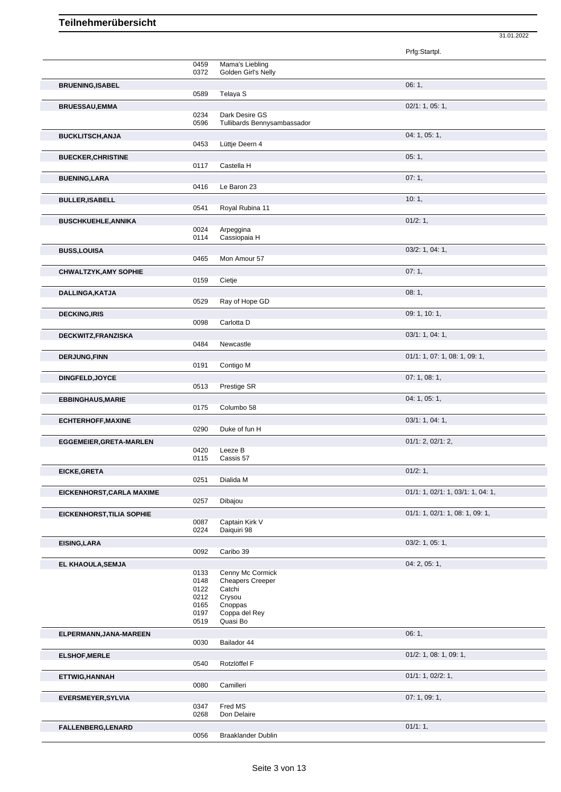|                              |              |                                             | Prfg:Startpl.                     |
|------------------------------|--------------|---------------------------------------------|-----------------------------------|
|                              | 0459         | Mama's Liebling<br>Golden Girl's Nelly      |                                   |
| <b>BRUENING, ISABEL</b>      | 0372         |                                             | 06:1,                             |
|                              | 0589         | Telaya S                                    |                                   |
| <b>BRUESSAU,EMMA</b>         | 0234         | Dark Desire GS                              | 02/1: 1, 05: 1,                   |
|                              | 0596         | Tullibards Bennysambassador                 |                                   |
| <b>BUCKLITSCH, ANJA</b>      | 0453         | Lüttje Deern 4                              | 04: 1, 05: 1,                     |
| <b>BUECKER, CHRISTINE</b>    |              |                                             | 05:1,                             |
|                              | 0117         | Castella H                                  |                                   |
| <b>BUENING, LARA</b>         |              |                                             | 07:1,                             |
|                              | 0416         | Le Baron 23                                 | 10:1,                             |
| <b>BULLER, ISABELL</b>       | 0541         | Royal Rubina 11                             |                                   |
| <b>BUSCHKUEHLE, ANNIKA</b>   |              |                                             | 01/2:1,                           |
|                              | 0024<br>0114 | Arpeggina<br>Cassiopaia H                   |                                   |
| <b>BUSS,LOUISA</b>           |              |                                             | 03/2: 1, 04: 1,                   |
|                              | 0465         | Mon Amour 57                                |                                   |
| <b>CHWALTZYK, AMY SOPHIE</b> | 0159         | Cietje                                      | 07:1,                             |
| DALLINGA, KATJA              |              |                                             | 08:1,                             |
|                              | 0529         | Ray of Hope GD                              |                                   |
| <b>DECKING, IRIS</b>         |              |                                             | 09: 1, 10: 1,                     |
|                              | 0098         | Carlotta D                                  | 03/1: 1, 04: 1,                   |
| DECKWITZ, FRANZISKA          | 0484         | Newcastle                                   |                                   |
| <b>DERJUNG, FINN</b>         |              |                                             | 01/1: 1, 07: 1, 08: 1, 09: 1,     |
|                              | 0191         | Contigo M                                   |                                   |
| DINGFELD, JOYCE              | 0513         | Prestige SR                                 | 07: 1, 08: 1,                     |
| <b>EBBINGHAUS, MARIE</b>     |              |                                             | 04: 1, 05: 1,                     |
|                              | 0175         | Columbo 58                                  |                                   |
| <b>ECHTERHOFF, MAXINE</b>    | 0290         | Duke of fun H                               | 03/1: 1, 04: 1,                   |
| EGGEMEIER, GRETA-MARLEN      |              |                                             | 01/1: 2, 02/1: 2,                 |
|                              | 0420<br>0115 | Leeze B<br>Cassis 57                        |                                   |
| <b>EICKE, GRETA</b>          |              |                                             | 01/2: 1,                          |
|                              | 0251         | Dialida M                                   |                                   |
| EICKENHORST, CARLA MAXIME    | 0257         | Dibajou                                     | 01/1: 1, 02/1: 1, 03/1: 1, 04: 1, |
| EICKENHORST, TILIA SOPHIE    |              |                                             | 01/1: 1, 02/1: 1, 08: 1, 09: 1,   |
|                              | 0087         | Captain Kirk V                              |                                   |
|                              | 0224         | Daiquiri 98                                 | 03/2: 1, 05: 1,                   |
| <b>EISING, LARA</b>          | 0092         | Caribo 39                                   |                                   |
| EL KHAOULA, SEMJA            |              |                                             | 04: 2, 05: 1,                     |
|                              | 0133<br>0148 | Cenny Mc Cormick<br><b>Cheapers Creeper</b> |                                   |
|                              | 0122         | Catchi                                      |                                   |
|                              | 0212<br>0165 | Crysou<br>Cnoppas                           |                                   |
|                              | 0197         | Coppa del Rey                               |                                   |
|                              | 0519         | Quasi Bo                                    |                                   |
| ELPERMANN, JANA-MAREEN       | 0030         | Bailador 44                                 | 06:1,                             |
| <b>ELSHOF, MERLE</b>         |              |                                             | 01/2: 1, 08: 1, 09: 1,            |
|                              | 0540         | Rotzlöffel F                                |                                   |
| ETTWIG, HANNAH               | 0080         | Camilleri                                   | 01/1: 1, 02/2: 1,                 |
| <b>EVERSMEYER, SYLVIA</b>    |              |                                             | 07: 1, 09: 1,                     |
|                              | 0347<br>0268 | Fred MS<br>Don Delaire                      |                                   |
| FALLENBERG, LENARD           |              |                                             | 01/1:1,                           |
|                              | 0056         | <b>Braaklander Dublin</b>                   |                                   |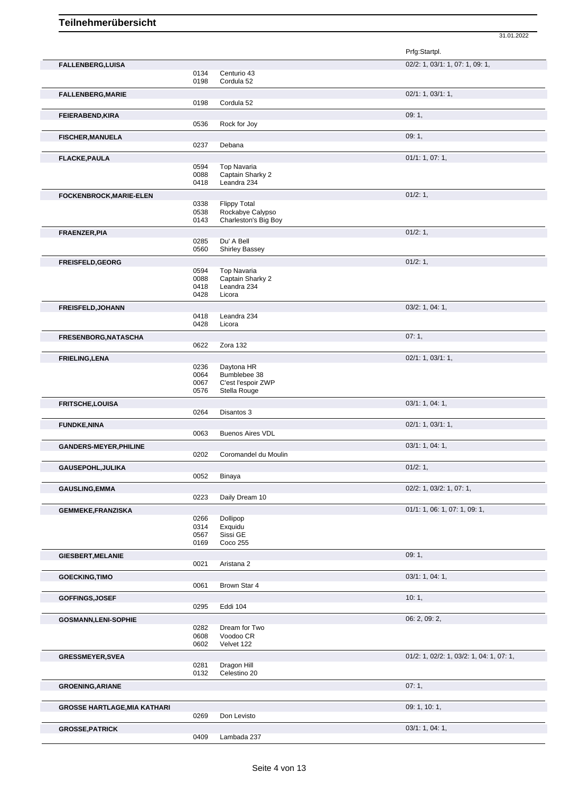|                                     |              |                                          | Prfg:Startpl.                            |
|-------------------------------------|--------------|------------------------------------------|------------------------------------------|
| <b>FALLENBERG,LUISA</b>             |              |                                          | 02/2: 1, 03/1: 1, 07: 1, 09: 1,          |
|                                     | 0134         | Centurio 43                              |                                          |
|                                     | 0198         | Cordula 52                               |                                          |
| <b>FALLENBERG, MARIE</b>            |              |                                          | 02/1: 1, 03/1: 1,                        |
|                                     | 0198         | Cordula 52                               |                                          |
| FEIERABEND, KIRA                    |              |                                          | 09:1,                                    |
|                                     | 0536         | Rock for Joy                             |                                          |
| <b>FISCHER, MANUELA</b>             |              |                                          | 09:1,                                    |
|                                     | 0237         | Debana                                   |                                          |
| <b>FLACKE, PAULA</b>                |              |                                          | 01/1: 1, 07: 1,                          |
|                                     | 0594         | <b>Top Navaria</b>                       |                                          |
|                                     | 0088         | Captain Sharky 2                         |                                          |
|                                     | 0418         | Leandra 234                              |                                          |
| FOCKENBROCK, MARIE-ELEN             |              |                                          | 01/2:1,                                  |
|                                     | 0338         | <b>Flippy Total</b>                      |                                          |
|                                     | 0538<br>0143 | Rockabye Calypso<br>Charleston's Big Boy |                                          |
|                                     |              |                                          |                                          |
| FRAENZER, PIA                       | 0285         | Du' A Bell                               | 01/2: 1,                                 |
|                                     | 0560         | <b>Shirley Bassey</b>                    |                                          |
|                                     |              |                                          | 01/2:1,                                  |
| FREISFELD, GEORG                    | 0594         | <b>Top Navaria</b>                       |                                          |
|                                     | 0088         | Captain Sharky 2                         |                                          |
|                                     | 0418         | Leandra 234                              |                                          |
|                                     | 0428         | Licora                                   |                                          |
| <b>FREISFELD, JOHANN</b>            |              |                                          | 03/2: 1, 04: 1,                          |
|                                     | 0418         | Leandra 234                              |                                          |
|                                     | 0428         | Licora                                   |                                          |
| <b>FRESENBORG, NATASCHA</b>         |              |                                          | 07:1,                                    |
|                                     | 0622         | Zora 132                                 |                                          |
| <b>FRIELING, LENA</b>               |              |                                          | 02/1: 1, 03/1: 1,                        |
|                                     | 0236         | Daytona HR                               |                                          |
|                                     | 0064         | Bumblebee 38                             |                                          |
|                                     | 0067<br>0576 | C'est l'espoir ZWP<br>Stella Rouge       |                                          |
|                                     |              |                                          |                                          |
| <b>FRITSCHE,LOUISA</b>              | 0264         | Disantos 3                               | 03/1: 1, 04: 1,                          |
|                                     |              |                                          | 02/1: 1, 03/1: 1,                        |
| <b>FUNDKE, NINA</b>                 | 0063         | <b>Buenos Aires VDL</b>                  |                                          |
|                                     |              |                                          | 03/1: 1, 04: 1,                          |
| <b>GANDERS-MEYER, PHILINE</b>       | 0202         | Coromandel du Moulin                     |                                          |
|                                     |              |                                          | 01/2: 1,                                 |
| GAUSEPOHL, JULIKA                   | 0052         | Binaya                                   |                                          |
| <b>GAUSLING, EMMA</b>               |              |                                          | 02/2: 1, 03/2: 1, 07: 1,                 |
|                                     | 0223         | Daily Dream 10                           |                                          |
| <b>GEMMEKE,FRANZISKA</b>            |              |                                          | 01/1: 1, 06: 1, 07: 1, 09: 1,            |
|                                     | 0266         | Dollipop                                 |                                          |
|                                     | 0314         | Exquidu                                  |                                          |
|                                     | 0567         | Sissi GE                                 |                                          |
|                                     | 0169         | Coco 255                                 |                                          |
| <b>GIESBERT, MELANIE</b>            |              |                                          | 09:1,                                    |
|                                     | 0021         | Aristana 2                               |                                          |
| <b>GOECKING, TIMO</b>               |              |                                          | 03/1: 1, 04: 1,                          |
|                                     | 0061         | Brown Star 4                             |                                          |
| GOFFINGS, JOSEF                     |              |                                          | 10:1,                                    |
|                                     | 0295         | Eddi 104                                 |                                          |
| <b>GOSMANN,LENI-SOPHIE</b>          |              |                                          | 06: 2, 09: 2,                            |
|                                     | 0282         | Dream for Two                            |                                          |
|                                     | 0608         | Voodoo CR                                |                                          |
|                                     | 0602         | Velvet 122                               |                                          |
| <b>GRESSMEYER, SVEA</b>             |              |                                          | 01/2: 1, 02/2: 1, 03/2: 1, 04: 1, 07: 1, |
|                                     | 0281         | Dragon Hill                              |                                          |
|                                     | 0132         | Celestino 20                             |                                          |
| <b>GROENING, ARIANE</b>             |              |                                          | 07:1,                                    |
|                                     |              |                                          |                                          |
|                                     |              |                                          |                                          |
| <b>GROSSE HARTLAGE, MIA KATHARI</b> |              |                                          | 09: 1, 10: 1,                            |
|                                     | 0269         | Don Levisto                              |                                          |
| <b>GROSSE, PATRICK</b>              | 0409         | Lambada 237                              | 03/1: 1, 04: 1,                          |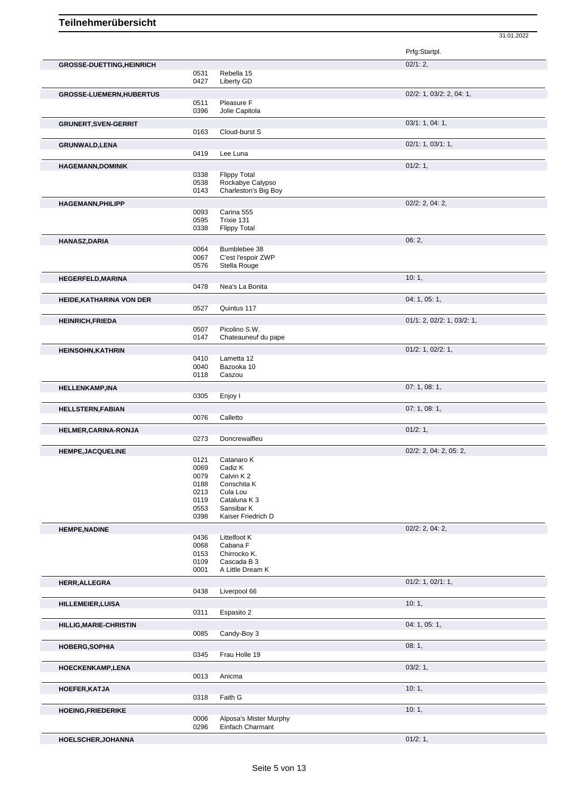|                                  |              |                                            | Prfg:Startpl.              |
|----------------------------------|--------------|--------------------------------------------|----------------------------|
| <b>GROSSE-DUETTING, HEINRICH</b> |              |                                            | 02/1:2,                    |
|                                  | 0531<br>0427 | Rebella 15<br>Liberty GD                   |                            |
|                                  |              |                                            |                            |
| <b>GROSSE-LUEMERN, HUBERTUS</b>  |              |                                            | 02/2: 1, 03/2: 2, 04: 1,   |
|                                  | 0511<br>0396 | Pleasure F<br>Jolie Capitola               |                            |
|                                  |              |                                            | 03/1: 1, 04: 1,            |
| <b>GRUNERT, SVEN-GERRIT</b>      | 0163         | Cloud-burst S                              |                            |
|                                  |              |                                            |                            |
| GRUNWALD, LENA                   | 0419         | Lee Luna                                   | 02/1: 1, 03/1: 1,          |
|                                  |              |                                            |                            |
| <b>HAGEMANN,DOMINIK</b>          |              |                                            | 01/2: 1,                   |
|                                  | 0338<br>0538 | <b>Flippy Total</b><br>Rockabye Calypso    |                            |
|                                  | 0143         | Charleston's Big Boy                       |                            |
| <b>HAGEMANN, PHILIPP</b>         |              |                                            | $02/2$ : 2, 04: 2,         |
|                                  | 0093         | Carina 555                                 |                            |
|                                  | 0595         | Trixie 131                                 |                            |
|                                  | 0338         | <b>Flippy Total</b>                        |                            |
| HANASZ, DARIA                    |              |                                            | 06:2,                      |
|                                  | 0064         | Bumblebee 38                               |                            |
|                                  | 0067         | C'est l'espoir ZWP                         |                            |
|                                  | 0576         | Stella Rouge                               |                            |
| <b>HEGERFELD, MARINA</b>         |              |                                            | 10:1,                      |
|                                  | 0478         | Nea's La Bonita                            |                            |
| HEIDE, KATHARINA VON DER         |              |                                            | 04: 1, 05: 1,              |
|                                  | 0527         | Quintus 117                                |                            |
| <b>HEINRICH, FRIEDA</b>          |              |                                            | 01/1: 2, 02/2: 1, 03/2: 1, |
|                                  | 0507         | Picolino S.W.                              |                            |
|                                  | 0147         | Chateauneuf du pape                        |                            |
| <b>HEINSOHN, KATHRIN</b>         |              |                                            | $01/2$ : 1, $02/2$ : 1,    |
|                                  | 0410         | Lametta 12                                 |                            |
|                                  | 0040<br>0118 | Bazooka 10<br>Caszou                       |                            |
|                                  |              |                                            | 07: 1, 08: 1,              |
| HELLENKAMP, INA                  | 0305         | Enjoy I                                    |                            |
|                                  |              |                                            | 07:1,08:1,                 |
| <b>HELLSTERN, FABIAN</b>         | 0076         | Calletto                                   |                            |
|                                  |              |                                            |                            |
| HELMER, CARINA-RONJA             | 0273         | Doncrewalfleu                              | 01/2: 1,                   |
|                                  |              |                                            | $02/2$ : 2, 04: 2, 05: 2,  |
| <b>HEMPE, JACQUELINE</b>         | 0121         | Catanaro K                                 |                            |
|                                  | 0069         | Cadiz K                                    |                            |
|                                  | 0079         | Calvin K2                                  |                            |
|                                  | 0188         | Conschita K                                |                            |
|                                  | 0213<br>0119 | Cula Lou<br>Cataluna K 3                   |                            |
|                                  | 0553         | Sansibar K                                 |                            |
|                                  | 0398         | Kaiser Friedrich D                         |                            |
| <b>HEMPE, NADINE</b>             |              |                                            | $02/2$ : 2, 04: 2,         |
|                                  | 0436         | Littelfoot K                               |                            |
|                                  | 0068         | Cabana F                                   |                            |
|                                  | 0153<br>0109 | Chirrocko K.<br>Cascada B 3                |                            |
|                                  | 0001         | A Little Dream K                           |                            |
|                                  |              |                                            | $01/2$ : 1, $02/1$ : 1,    |
| <b>HERR, ALLEGRA</b>             | 0438         | Liverpool 66                               |                            |
|                                  |              |                                            |                            |
| HILLEMEIER, LUISA                | 0311         | Espasito 2                                 | 10:1,                      |
|                                  |              |                                            |                            |
| HILLIG, MARIE-CHRISTIN           | 0085         | Candy-Boy 3                                | 04: 1, 05: 1,              |
|                                  |              |                                            |                            |
| <b>HOBERG, SOPHIA</b>            |              |                                            | 08:1,                      |
|                                  | 0345         | Frau Holle 19                              |                            |
| HOECKENKAMP, LENA                |              |                                            | 03/2:1,                    |
|                                  | 0013         | Anicma                                     |                            |
| HOEFER, KATJA                    |              |                                            | 10:1,                      |
|                                  | 0318         | Faith G                                    |                            |
| HOEING, FRIEDERIKE               |              |                                            | 10:1,                      |
|                                  | 0006         | Alposa's Mister Murphy<br>Einfach Charmant |                            |
|                                  | 0296         |                                            |                            |
| HOELSCHER, JOHANNA               |              |                                            | 01/2: 1,                   |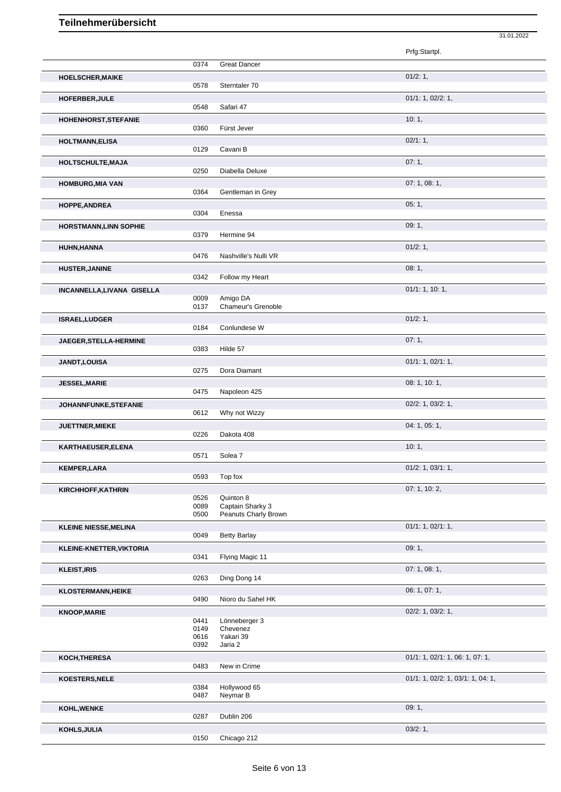|                               |              |                       | Prfg:Startpl.                     |
|-------------------------------|--------------|-----------------------|-----------------------------------|
|                               | 0374         | <b>Great Dancer</b>   |                                   |
| <b>HOELSCHER, MAIKE</b>       |              |                       | 01/2: 1,                          |
|                               | 0578         | Sterntaler 70         |                                   |
| HOFERBER, JULE                |              |                       | 01/1: 1, 02/2: 1,                 |
|                               | 0548         | Safari 47             |                                   |
| <b>HOHENHORST, STEFANIE</b>   |              |                       | 10:1,                             |
|                               | 0360         | Fürst Jever           |                                   |
| <b>HOLTMANN, ELISA</b>        |              |                       | 02/1:1,                           |
|                               | 0129         | Cavani B              |                                   |
| <b>HOLTSCHULTE, MAJA</b>      |              |                       | 07:1,                             |
|                               | 0250         | Diabella Deluxe       |                                   |
| <b>HOMBURG, MIA VAN</b>       |              |                       | 07:1,08:1,                        |
|                               | 0364         | Gentleman in Grey     |                                   |
|                               |              |                       | 05:1,                             |
| <b>HOPPE, ANDREA</b>          | 0304         | Enessa                |                                   |
|                               |              |                       | 09:1,                             |
| <b>HORSTMANN, LINN SOPHIE</b> | 0379         | Hermine 94            |                                   |
|                               |              |                       | 01/2: 1,                          |
| HUHN, HANNA                   | 0476         | Nashville's Nulli VR  |                                   |
|                               |              |                       | 08:1,                             |
| <b>HUSTER, JANINE</b>         | 0342         | Follow my Heart       |                                   |
|                               |              |                       | 01/1: 1, 10: 1,                   |
| INCANNELLA, LIVANA GISELLA    | 0009         | Amigo DA              |                                   |
|                               | 0137         | Chameur's Grenoble    |                                   |
| ISRAEL, LUDGER                |              |                       | 01/2: 1,                          |
|                               | 0184         | Conlundese W          |                                   |
| JAEGER, STELLA-HERMINE        |              |                       | 07:1,                             |
|                               | 0383         | Hilde 57              |                                   |
| <b>JANDT,LOUISA</b>           |              |                       | 01/1: 1, 02/1: 1,                 |
|                               | 0275         | Dora Diamant          |                                   |
| <b>JESSEL, MARIE</b>          |              |                       | 08: 1, 10: 1,                     |
|                               | 0475         | Napoleon 425          |                                   |
|                               |              |                       | 02/2: 1, 03/2: 1,                 |
| <b>JOHANNFUNKE,STEFANIE</b>   | 0612         | Why not Wizzy         |                                   |
|                               |              |                       | 04: 1, 05: 1,                     |
| <b>JUETTNER, MIEKE</b>        | 0226         | Dakota 408            |                                   |
|                               |              |                       |                                   |
| KARTHAEUSER, ELENA            | 0571         | Solea 7               | 10:1,                             |
|                               |              |                       |                                   |
| <b>KEMPER, LARA</b>           | 0593         | Top fox               | 01/2: 1, 03/1: 1,                 |
|                               |              |                       | 07: 1, 10: 2,                     |
| KIRCHHOFF, KATHRIN            | 0526         | Quinton 8             |                                   |
|                               | 0089         | Captain Sharky 3      |                                   |
|                               | 0500         | Peanuts Charly Brown  |                                   |
| <b>KLEINE NIESSE, MELINA</b>  |              |                       | 01/1: 1, 02/1: 1,                 |
|                               | 0049         | <b>Betty Barlay</b>   |                                   |
| KLEINE-KNETTER, VIKTORIA      |              |                       | 09:1,                             |
|                               | 0341         | Flying Magic 11       |                                   |
| <b>KLEIST, IRIS</b>           |              |                       | 07:1,08:1,                        |
|                               | 0263         | Ding Dong 14          |                                   |
| <b>KLOSTERMANN, HEIKE</b>     |              |                       | 06: 1, 07: 1,                     |
|                               | 0490         | Nioro du Sahel HK     |                                   |
| <b>KNOOP, MARIE</b>           |              |                       | 02/2: 1, 03/2: 1,                 |
|                               | 0441         | Lönneberger 3         |                                   |
|                               | 0149<br>0616 | Chevenez<br>Yakari 39 |                                   |
|                               | 0392         | Jaria 2               |                                   |
| KOCH, THERESA                 |              |                       | 01/1: 1, 02/1: 1, 06: 1, 07: 1,   |
|                               | 0483         | New in Crime          |                                   |
| KOESTERS, NELE                |              |                       | 01/1: 1, 02/2: 1, 03/1: 1, 04: 1, |
|                               | 0384         | Hollywood 65          |                                   |
|                               | 0487         | Neymar B              |                                   |
| <b>KOHL, WENKE</b>            |              |                       | 09:1,                             |
|                               | 0287         | Dublin 206            |                                   |
| KOHLS, JULIA                  |              |                       | 03/2:1,                           |
|                               | 0150         | Chicago 212           |                                   |

31.01.2022

Chicago 212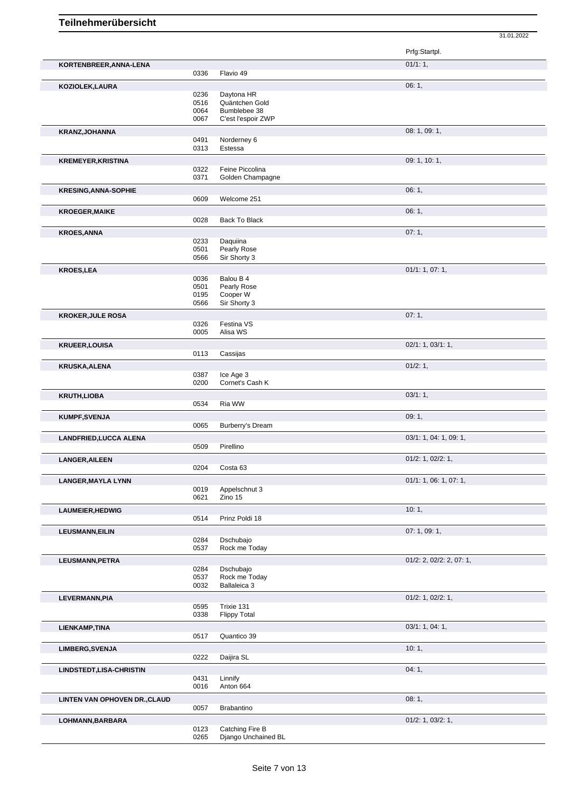|                               |              |                                   | Prfg:Startpl.            |
|-------------------------------|--------------|-----------------------------------|--------------------------|
| KORTENBREER, ANNA-LENA        |              |                                   | 01/1:1,                  |
|                               | 0336         | Flavio 49                         |                          |
| KOZIOLEK,LAURA                |              |                                   | 06:1,                    |
|                               | 0236         | Daytona HR                        |                          |
|                               | 0516<br>0064 | Quäntchen Gold<br>Bumblebee 38    |                          |
|                               | 0067         | C'est l'espoir ZWP                |                          |
| KRANZ, JOHANNA                |              |                                   | 08: 1, 09: 1,            |
|                               | 0491         | Norderney 6                       |                          |
|                               | 0313         | Estessa                           |                          |
| <b>KREMEYER, KRISTINA</b>     |              |                                   | 09: 1, 10: 1,            |
|                               | 0322         | Feine Piccolina                   |                          |
|                               | 0371         | Golden Champagne                  |                          |
| <b>KRESING, ANNA-SOPHIE</b>   |              |                                   | 06:1,                    |
|                               | 0609         | Welcome 251                       |                          |
| <b>KROEGER, MAIKE</b>         |              |                                   | 06:1,                    |
|                               | 0028         | Back To Black                     |                          |
| <b>KROES, ANNA</b>            |              |                                   | 07:1,                    |
|                               | 0233<br>0501 | Daquiina<br>Pearly Rose           |                          |
|                               | 0566         | Sir Shorty 3                      |                          |
| <b>KROES,LEA</b>              |              |                                   | 01/1: 1, 07: 1,          |
|                               | 0036         | Balou B 4                         |                          |
|                               | 0501         | Pearly Rose                       |                          |
|                               | 0195<br>0566 | Cooper W<br>Sir Shorty 3          |                          |
|                               |              |                                   | 07:1,                    |
| <b>KROKER, JULE ROSA</b>      | 0326         | Festina VS                        |                          |
|                               | 0005         | Alisa WS                          |                          |
| <b>KRUEER, LOUISA</b>         |              |                                   | 02/1: 1, 03/1: 1,        |
|                               | 0113         | Cassijas                          |                          |
| <b>KRUSKA, ALENA</b>          |              |                                   | 01/2:1,                  |
|                               | 0387         | Ice Age 3                         |                          |
|                               | 0200         | Cornet's Cash K                   |                          |
| <b>KRUTH,LIOBA</b>            |              |                                   | 03/1:1,                  |
|                               | 0534         | Ria WW                            |                          |
| <b>KUMPF,SVENJA</b>           |              |                                   | 09:1,                    |
|                               | 0065         | Burberry's Dream                  |                          |
| <b>LANDFRIED, LUCCA ALENA</b> |              |                                   | 03/1: 1, 04: 1, 09: 1,   |
|                               | 0509         | Pirellino                         |                          |
| <b>LANGER, AILEEN</b>         |              |                                   | $01/2$ : 1, $02/2$ : 1,  |
|                               | 0204         | Costa 63                          |                          |
| <b>LANGER, MAYLA LYNN</b>     |              | Appelschnut 3                     | 01/1: 1, 06: 1, 07: 1,   |
|                               | 0019<br>0621 | Zino 15                           |                          |
|                               |              |                                   | 10:1,                    |
| LAUMEIER, HEDWIG              | 0514         | Prinz Poldi 18                    |                          |
| <b>LEUSMANN, EILIN</b>        |              |                                   | 07: 1, 09: 1,            |
|                               | 0284         | Dschubajo                         |                          |
|                               | 0537         | Rock me Today                     |                          |
| LEUSMANN, PETRA               |              |                                   | 01/2: 2, 02/2: 2, 07: 1, |
|                               | 0284         | Dschubajo                         |                          |
|                               | 0537         | Rock me Today                     |                          |
|                               | 0032         | Ballaleica 3                      |                          |
| LEVERMANN, PIA                |              |                                   | 01/2: 1, 02/2: 1,        |
|                               | 0595<br>0338 | Trixie 131<br><b>Flippy Total</b> |                          |
|                               |              |                                   | 03/1:1, 04:1,            |
| LIENKAMP, TINA                | 0517         | Quantico 39                       |                          |
|                               |              |                                   | 10:1,                    |
| <b>LIMBERG, SVENJA</b>        | 0222         | Daijira SL                        |                          |
|                               |              |                                   |                          |
| LINDSTEDT, LISA-CHRISTIN      | 0431         | Linnify                           | 04:1,                    |
|                               | 0016         | Anton 664                         |                          |
| LINTEN VAN OPHOVEN DR., CLAUD |              |                                   | 08:1,                    |
|                               | 0057         | Brabantino                        |                          |
| LOHMANN, BARBARA              |              |                                   | $01/2$ : 1, 03/2: 1,     |
|                               | 0123         | Catching Fire B                   |                          |
|                               | 0265         | Django Unchained BL               |                          |
|                               |              |                                   |                          |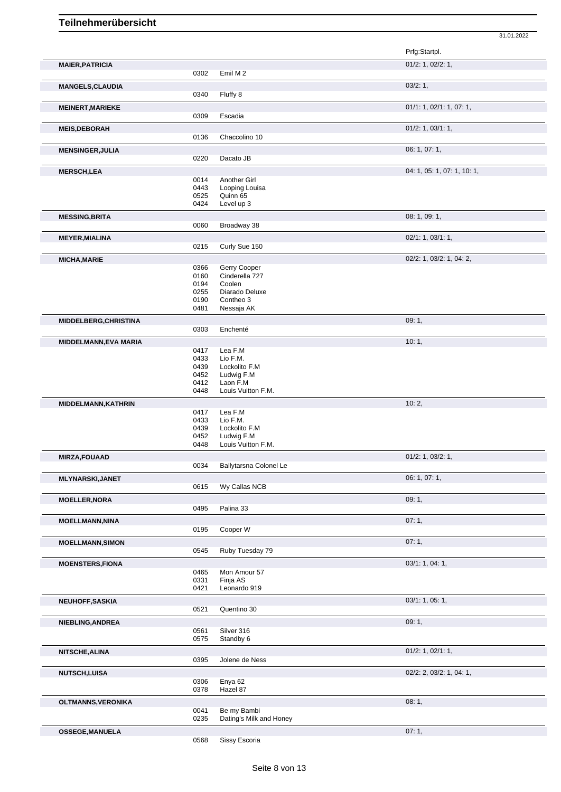31.01.2022

|                              |              |                                        | Prfg:Startpl.               |
|------------------------------|--------------|----------------------------------------|-----------------------------|
| <b>MAIER, PATRICIA</b>       |              |                                        | $01/2$ : 1, 02/2: 1,        |
|                              | 0302         | Emil M 2                               |                             |
| <b>MANGELS, CLAUDIA</b>      |              |                                        | 03/2:1,                     |
|                              | 0340         | Fluffy 8                               |                             |
| <b>MEINERT, MARIEKE</b>      |              |                                        | 01/1: 1, 02/1: 1, 07: 1,    |
|                              | 0309         | Escadia                                |                             |
| <b>MEIS, DEBORAH</b>         |              |                                        | $01/2$ : 1, $03/1$ : 1,     |
|                              | 0136         | Chaccolino 10                          |                             |
| <b>MENSINGER, JULIA</b>      |              |                                        | 06: 1, 07: 1,               |
|                              | 0220         | Dacato JB                              |                             |
| <b>MERSCH,LEA</b>            |              |                                        | 04: 1, 05: 1, 07: 1, 10: 1, |
|                              | 0014         | Another Girl                           |                             |
|                              | 0443         | Looping Louisa                         |                             |
|                              | 0525<br>0424 | Quinn 65<br>Level up 3                 |                             |
|                              |              |                                        |                             |
| <b>MESSING, BRITA</b>        |              |                                        | 08: 1, 09: 1,               |
|                              | 0060         | Broadway 38                            |                             |
| <b>MEYER, MIALINA</b>        |              |                                        | 02/1: 1, 03/1: 1,           |
|                              | 0215         | Curly Sue 150                          |                             |
| <b>MICHA, MARIE</b>          |              |                                        | 02/2: 1, 03/2: 1, 04: 2,    |
|                              | 0366<br>0160 | Gerry Cooper<br>Cinderella 727         |                             |
|                              | 0194         | Coolen                                 |                             |
|                              | 0255         | Diarado Deluxe                         |                             |
|                              | 0190         | Contheo 3                              |                             |
|                              | 0481         | Nessaja AK                             |                             |
| MIDDELBERG, CHRISTINA        |              |                                        | 09:1,                       |
|                              | 0303         | Enchenté                               |                             |
| <b>MIDDELMANN, EVA MARIA</b> |              |                                        | 10:1,                       |
|                              | 0417<br>0433 | Lea F.M<br>Lio F.M.                    |                             |
|                              | 0439         | Lockolito F.M                          |                             |
|                              | 0452         | Ludwig F.M                             |                             |
|                              | 0412         | Laon F.M                               |                             |
|                              | 0448         | Louis Vuitton F.M.                     |                             |
| MIDDELMANN, KATHRIN          |              |                                        | 10:2,                       |
|                              | 0417<br>0433 | Lea F.M<br>Lio F.M.                    |                             |
|                              | 0439         | Lockolito F.M                          |                             |
|                              | 0452         | Ludwig F.M                             |                             |
|                              | 0448         | Louis Vuitton F.M.                     |                             |
| <b>MIRZA,FOUAAD</b>          |              |                                        | $01/2$ : 1, 03/2: 1,        |
|                              |              | 0034 Ballytarsna Colonel Le            |                             |
| <b>MLYNARSKI, JANET</b>      |              |                                        | 06: 1, 07: 1,               |
|                              | 0615         | Wy Callas NCB                          |                             |
| <b>MOELLER, NORA</b>         |              |                                        | 09:1,                       |
|                              | 0495         | Palina 33                              |                             |
| <b>MOELLMANN, NINA</b>       |              |                                        | 07:1,                       |
|                              | 0195         | Cooper W                               |                             |
| <b>MOELLMANN, SIMON</b>      |              |                                        | 07:1,                       |
|                              | 0545         | Ruby Tuesday 79                        |                             |
| <b>MOENSTERS,FIONA</b>       |              |                                        |                             |
|                              |              |                                        | 03/1: 1, 04: 1,             |
|                              | 0465         | Mon Amour 57                           |                             |
|                              | 0331         | Finja AS                               |                             |
|                              | 0421         | Leonardo 919                           |                             |
| NEUHOFF, SASKIA              |              |                                        | 03/1: 1, 05: 1,             |
|                              | 0521         | Quentino 30                            |                             |
| NIEBLING, ANDREA             |              |                                        | 09:1,                       |
|                              | 0561         | Silver 316                             |                             |
|                              | 0575         | Standby 6                              |                             |
| <b>NITSCHE, ALINA</b>        |              |                                        | $01/2$ : 1, $02/1$ : 1,     |
|                              | 0395         | Jolene de Ness                         |                             |
| <b>NUTSCH,LUISA</b>          |              |                                        | 02/2: 2, 03/2: 1, 04: 1,    |
|                              | 0306<br>0378 | Enya 62<br>Hazel 87                    |                             |
|                              |              |                                        |                             |
| OLTMANNS, VERONIKA           |              |                                        | 08:1,                       |
|                              | 0041<br>0235 | Be my Bambi<br>Dating's Milk and Honey |                             |
| <b>OSSEGE, MANUELA</b>       |              |                                        | 07: 1,                      |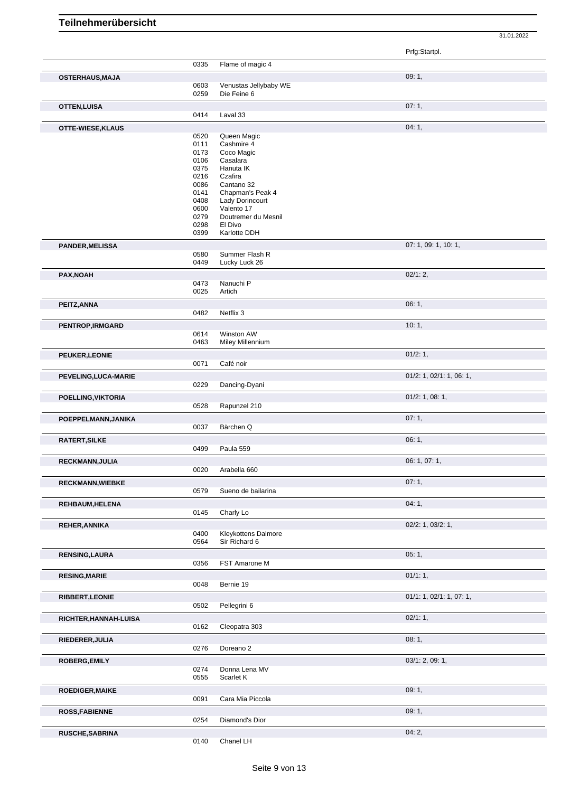|                         |              |                                   | Prfg:Startpl.            |
|-------------------------|--------------|-----------------------------------|--------------------------|
|                         | 0335         | Flame of magic 4                  |                          |
| <b>OSTERHAUS, MAJA</b>  |              |                                   | 09:1,                    |
|                         | 0603         | Venustas Jellybaby WE             |                          |
|                         | 0259         | Die Feine 6                       |                          |
|                         |              |                                   | 07: 1,                   |
| <b>OTTEN, LUISA</b>     | 0414         | Laval 33                          |                          |
|                         |              |                                   |                          |
| OTTE-WIESE, KLAUS       |              |                                   | 04:1,                    |
|                         | 0520         | Queen Magic                       |                          |
|                         | 0111         | Cashmire 4                        |                          |
|                         | 0173<br>0106 | Coco Magic<br>Casalara            |                          |
|                         | 0375         | Hanuta IK                         |                          |
|                         | 0216         | Czafira                           |                          |
|                         | 0086         | Cantano 32                        |                          |
|                         | 0141         | Chapman's Peak 4                  |                          |
|                         | 0408         | Lady Dorincourt                   |                          |
|                         | 0600<br>0279 | Valento 17<br>Doutremer du Mesnil |                          |
|                         | 0298         | El Divo                           |                          |
|                         | 0399         | Karlotte DDH                      |                          |
|                         |              |                                   |                          |
| <b>PANDER, MELISSA</b>  |              |                                   | 07: 1, 09: 1, 10: 1,     |
|                         | 0580<br>0449 | Summer Flash R<br>Lucky Luck 26   |                          |
|                         |              |                                   |                          |
| PAX, NOAH               |              |                                   | 02/1:2,                  |
|                         | 0473<br>0025 | Nanuchi P<br>Artich               |                          |
|                         |              |                                   |                          |
| PEITZ, ANNA             |              |                                   | 06:1,                    |
|                         | 0482         | Netflix 3                         |                          |
| PENTROP, IRMGARD        |              |                                   | 10:1,                    |
|                         | 0614         | Winston AW                        |                          |
|                         | 0463         | Miley Millennium                  |                          |
| PEUKER, LEONIE          |              |                                   | 01/2: 1,                 |
|                         | 0071         | Café noir                         |                          |
|                         |              |                                   | 01/2: 1, 02/1: 1, 06: 1, |
| PEVELING, LUCA-MARIE    | 0229         | Dancing-Dyani                     |                          |
|                         |              |                                   |                          |
| POELLING, VIKTORIA      |              |                                   | $01/2$ : 1, 08: 1,       |
|                         | 0528         | Rapunzel 210                      |                          |
| POEPPELMANN, JANIKA     |              |                                   | 07:1,                    |
|                         | 0037         | Bärchen Q                         |                          |
| RATERT, SILKE           |              |                                   | 06:1,                    |
|                         | 0499         | Paula 559                         |                          |
| <b>RECKMANN, JULIA</b>  |              |                                   | 06: 1, 07: 1,            |
|                         | 0020         | Arabella 660                      |                          |
|                         |              |                                   |                          |
| <b>RECKMANN, WIEBKE</b> |              |                                   | 07: 1,                   |
|                         | 0579         | Sueno de bailarina                |                          |
| REHBAUM, HELENA         |              |                                   | 04: 1,                   |
|                         | 0145         | Charly Lo                         |                          |
| <b>REHER, ANNIKA</b>    |              |                                   | 02/2: 1, 03/2: 1,        |
|                         | 0400         | Kleykottens Dalmore               |                          |
|                         | 0564         | Sir Richard 6                     |                          |
| <b>RENSING, LAURA</b>   |              |                                   | 05:1,                    |
|                         | 0356         | FST Amarone M                     |                          |
| <b>RESING, MARIE</b>    |              |                                   | 01/1:1,                  |
|                         | 0048         | Bernie 19                         |                          |
|                         |              |                                   |                          |
| <b>RIBBERT, LEONIE</b>  |              |                                   | 01/1: 1, 02/1: 1, 07: 1, |
|                         | 0502         | Pellegrini 6                      |                          |
| RICHTER, HANNAH-LUISA   |              |                                   | 02/1:1,                  |
|                         | 0162         | Cleopatra 303                     |                          |
| RIEDERER, JULIA         |              |                                   | 08:1,                    |
|                         | 0276         | Doreano <sub>2</sub>              |                          |
| <b>ROBERG, EMILY</b>    |              |                                   | 03/1: 2, 09: 1,          |
|                         | 0274         | Donna Lena MV                     |                          |
|                         | 0555         | Scarlet K                         |                          |
|                         |              |                                   |                          |
| <b>ROEDIGER, MAIKE</b>  | 0091         | Cara Mia Piccola                  | 09:1,                    |
|                         |              |                                   |                          |
| <b>ROSS, FABIENNE</b>   |              |                                   | 09:1,                    |
|                         | 0254         | Diamond's Dior                    |                          |
| RUSCHE, SABRINA         |              |                                   | 04: 2,                   |
|                         |              | Chanel LH                         |                          |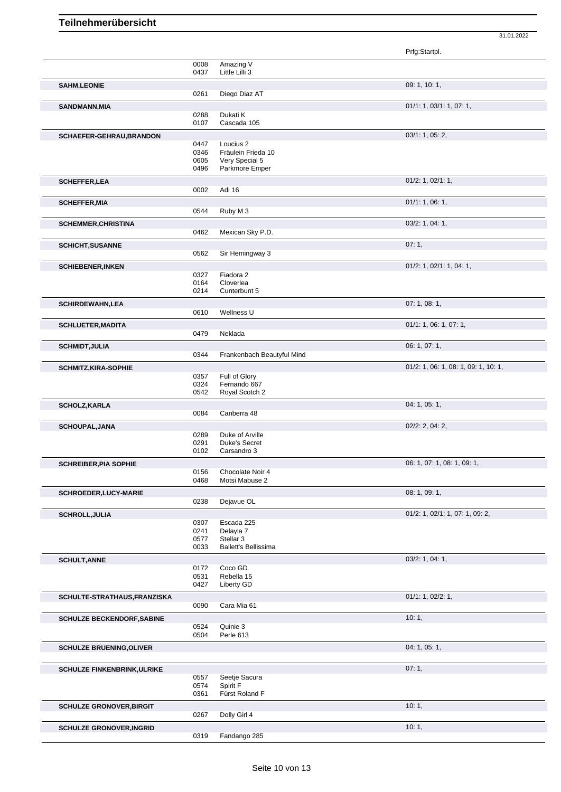|                                                                                                                                                                                                      |              |                                      | Prfg:Startpl.                        |
|------------------------------------------------------------------------------------------------------------------------------------------------------------------------------------------------------|--------------|--------------------------------------|--------------------------------------|
|                                                                                                                                                                                                      | 0008         | Amazing V                            |                                      |
|                                                                                                                                                                                                      | 0437         | Little Lilli 3                       |                                      |
| <b>SAHM,LEONIE</b>                                                                                                                                                                                   | 0261         | Diego Diaz AT                        | 09: 1, 10: 1,                        |
|                                                                                                                                                                                                      |              |                                      |                                      |
| <b>SANDMANN, MIA</b>                                                                                                                                                                                 | 0288         | Dukati K                             | 01/1: 1, 03/1: 1, 07: 1,             |
|                                                                                                                                                                                                      | 0107         | Cascada 105                          |                                      |
| SCHAEFER-GEHRAU, BRANDON                                                                                                                                                                             |              |                                      | 03/1: 1, 05: 2,                      |
|                                                                                                                                                                                                      | 0447         | Loucius <sub>2</sub>                 |                                      |
|                                                                                                                                                                                                      | 0346<br>0605 | Fräulein Frieda 10<br>Very Special 5 |                                      |
|                                                                                                                                                                                                      | 0496         | Parkmore Emper                       |                                      |
| <b>SCHEFFER, LEA</b>                                                                                                                                                                                 |              |                                      | $01/2$ : 1, $02/1$ : 1,              |
|                                                                                                                                                                                                      | 0002         | Adi 16                               |                                      |
| <b>SCHEFFER, MIA</b>                                                                                                                                                                                 |              |                                      | 01/1: 1, 06: 1,                      |
|                                                                                                                                                                                                      | 0544         | Ruby M 3                             |                                      |
| <b>SCHEMMER, CHRISTINA</b>                                                                                                                                                                           |              |                                      | $03/2$ : 1, 04: 1,                   |
|                                                                                                                                                                                                      | 0462         | Mexican Sky P.D.                     |                                      |
| <b>SCHICHT, SUSANNE</b>                                                                                                                                                                              | 0562         |                                      | 07:1,                                |
|                                                                                                                                                                                                      |              | Sir Hemingway 3                      |                                      |
| <b>SCHIEBENER, INKEN</b>                                                                                                                                                                             | 0327         | Fiadora 2                            | 01/2: 1, 02/1: 1, 04: 1,             |
|                                                                                                                                                                                                      | 0164         | Cloverlea                            |                                      |
|                                                                                                                                                                                                      | 0214         | Cunterbunt 5                         |                                      |
| <b>SCHIRDEWAHN,LEA</b>                                                                                                                                                                               |              |                                      | 07:1,08:1,                           |
|                                                                                                                                                                                                      | 0610         | Wellness U                           |                                      |
| <b>SCHLUETER, MADITA</b>                                                                                                                                                                             | 0479         | Neklada                              | 01/1: 1, 06: 1, 07: 1,               |
|                                                                                                                                                                                                      |              |                                      | 06: 1, 07: 1,                        |
| <b>SCHMIDT, JULIA</b>                                                                                                                                                                                | 0344         | Frankenbach Beautyful Mind           |                                      |
| <b>SCHMITZ, KIRA-SOPHIE</b>                                                                                                                                                                          |              |                                      | 01/2: 1, 06: 1, 08: 1, 09: 1, 10: 1, |
|                                                                                                                                                                                                      | 0357         | Full of Glory                        |                                      |
|                                                                                                                                                                                                      | 0324         | Fernando 667                         |                                      |
|                                                                                                                                                                                                      | 0542         | Royal Scotch 2                       |                                      |
| <b>SCHOLZ, KARLA</b>                                                                                                                                                                                 | 0084         | Canberra 48                          | 04: 1, 05: 1,                        |
|                                                                                                                                                                                                      |              |                                      | $02/2$ : 2, 04: 2,                   |
|                                                                                                                                                                                                      |              |                                      |                                      |
|                                                                                                                                                                                                      | 0289         | Duke of Arville                      |                                      |
|                                                                                                                                                                                                      | 0291         | <b>Duke's Secret</b>                 |                                      |
|                                                                                                                                                                                                      | 0102         | Carsandro 3                          |                                      |
|                                                                                                                                                                                                      |              |                                      | 06: 1, 07: 1, 08: 1, 09: 1,          |
|                                                                                                                                                                                                      | 0156<br>0468 | Chocolate Noir 4<br>Motsi Mabuse 2   |                                      |
|                                                                                                                                                                                                      |              |                                      | 08: 1, 09: 1,                        |
|                                                                                                                                                                                                      | 0238         | Dejavue OL                           |                                      |
|                                                                                                                                                                                                      |              |                                      | 01/2: 1, 02/1: 1, 07: 1, 09: 2,      |
|                                                                                                                                                                                                      | 0307         | Escada 225                           |                                      |
| <b>SCHOUPAL, JANA</b><br><b>SCHREIBER, PIA SOPHIE</b><br>SCHROEDER, LUCY-MARIE<br><b>SCHROLL, JULIA</b>                                                                                              | 0241<br>0577 | Delayla 7<br>Stellar 3               |                                      |
|                                                                                                                                                                                                      | 0033         | <b>Ballett's Bellissima</b>          |                                      |
|                                                                                                                                                                                                      |              |                                      | 03/2: 1, 04: 1,                      |
|                                                                                                                                                                                                      | 0172         | Coco GD                              |                                      |
|                                                                                                                                                                                                      | 0531<br>0427 | Rebella 15<br>Liberty GD             |                                      |
|                                                                                                                                                                                                      |              |                                      |                                      |
|                                                                                                                                                                                                      | 0090         | Cara Mia 61                          | 01/1: 1, 02/2: 1,                    |
|                                                                                                                                                                                                      |              |                                      | 10:1,                                |
|                                                                                                                                                                                                      | 0524         | Quinie 3                             |                                      |
|                                                                                                                                                                                                      | 0504         | Perle 613                            |                                      |
|                                                                                                                                                                                                      |              |                                      | 04:1,05:1,                           |
|                                                                                                                                                                                                      |              |                                      |                                      |
|                                                                                                                                                                                                      | 0557         | Seetje Sacura                        | 07:1,                                |
|                                                                                                                                                                                                      | 0574         | Spirit F                             |                                      |
|                                                                                                                                                                                                      | 0361         | Fürst Roland F                       |                                      |
| <b>SCHULT, ANNE</b><br>SCHULTE-STRATHAUS, FRANZISKA<br><b>SCHULZE BECKENDORF, SABINE</b><br><b>SCHULZE BRUENING, OLIVER</b><br><b>SCHULZE FINKENBRINK, ULRIKE</b><br><b>SCHULZE GRONOVER, BIRGIT</b> |              |                                      | 10:1,                                |
| <b>SCHULZE GRONOVER, INGRID</b>                                                                                                                                                                      | 0267         | Dolly Girl 4                         | 10:1,                                |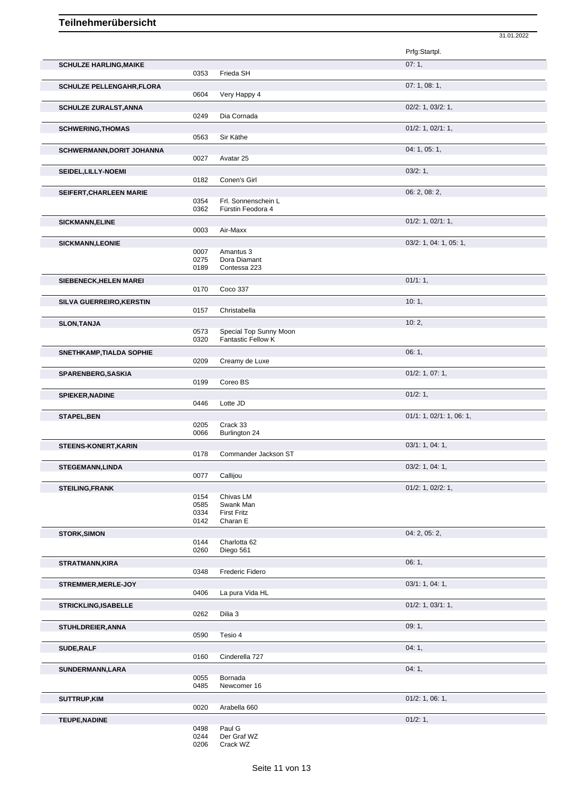|                                  |              |                                                     | Prfg:Startpl.            |
|----------------------------------|--------------|-----------------------------------------------------|--------------------------|
| <b>SCHULZE HARLING, MAIKE</b>    |              |                                                     | 07:1,                    |
|                                  | 0353         | Frieda SH                                           |                          |
| <b>SCHULZE PELLENGAHR, FLORA</b> |              |                                                     | 07: 1, 08: 1,            |
|                                  | 0604         | Very Happy 4                                        |                          |
| <b>SCHULZE ZURALST, ANNA</b>     |              |                                                     | 02/2: 1, 03/2: 1,        |
|                                  | 0249         | Dia Cornada                                         |                          |
| <b>SCHWERING, THOMAS</b>         |              |                                                     | $01/2$ : 1, $02/1$ : 1,  |
|                                  | 0563         | Sir Käthe                                           |                          |
| <b>SCHWERMANN, DORIT JOHANNA</b> |              |                                                     | 04: 1, 05: 1,            |
|                                  | 0027         | Avatar 25                                           |                          |
| SEIDEL, LILLY-NOEMI              |              |                                                     | 03/2:1,                  |
|                                  | 0182         | Conen's Girl                                        |                          |
| SEIFERT, CHARLEEN MARIE          |              |                                                     | 06: 2, 08: 2,            |
|                                  | 0354         | Frl. Sonnenschein L                                 |                          |
|                                  | 0362         | Fürstin Feodora 4                                   |                          |
| <b>SICKMANN, ELINE</b>           |              |                                                     | $01/2$ : 1, $02/1$ : 1,  |
|                                  | 0003         | Air-Maxx                                            |                          |
| <b>SICKMANN,LEONIE</b>           |              |                                                     | 03/2: 1, 04: 1, 05: 1,   |
|                                  | 0007         | Amantus 3                                           |                          |
|                                  | 0275         | Dora Diamant                                        |                          |
|                                  | 0189         | Contessa 223                                        |                          |
| SIEBENECK, HELEN MAREI           |              |                                                     | 01/1:1,                  |
|                                  | 0170         | Coco 337                                            |                          |
| SILVA GUERREIRO, KERSTIN         |              |                                                     | 10:1,                    |
|                                  | 0157         | Christabella                                        |                          |
| <b>SLON, TANJA</b>               |              |                                                     | 10:2,                    |
|                                  | 0573         | Special Top Sunny Moon<br><b>Fantastic Fellow K</b> |                          |
|                                  | 0320         |                                                     |                          |
| SNETHKAMP, TIALDA SOPHIE         | 0209         | Creamy de Luxe                                      | 06:1,                    |
|                                  |              |                                                     |                          |
| <b>SPARENBERG, SASKIA</b>        | 0199         | Coreo BS                                            | 01/2: 1, 07: 1,          |
|                                  |              |                                                     |                          |
| <b>SPIEKER, NADINE</b>           | 0446         | Lotte JD                                            | 01/2: 1,                 |
|                                  |              |                                                     |                          |
| <b>STAPEL, BEN</b>               | 0205         | Crack 33                                            | 01/1: 1, 02/1: 1, 06: 1, |
|                                  | 0066         | Burlington 24                                       |                          |
| STEENS-KONERT, KARIN             |              |                                                     | 03/1: 1, 04: 1,          |
|                                  | 0178         | Commander Jackson ST                                |                          |
|                                  |              |                                                     | 03/2: 1, 04: 1,          |
| STEGEMANN, LINDA                 | 0077         | Callijou                                            |                          |
| <b>STEILING, FRANK</b>           |              |                                                     | 01/2: 1, 02/2: 1,        |
|                                  | 0154         | Chivas LM                                           |                          |
|                                  | 0585         | Swank Man                                           |                          |
|                                  | 0334         | <b>First Fritz</b>                                  |                          |
|                                  | 0142         | Charan E                                            |                          |
| <b>STORK, SIMON</b>              |              | Charlotta 62                                        | 04: 2, 05: 2,            |
|                                  | 0144<br>0260 | Diego 561                                           |                          |
| <b>STRATMANN, KIRA</b>           |              |                                                     | 06:1,                    |
|                                  | 0348         | Frederic Fidero                                     |                          |
|                                  |              |                                                     | 03/1: 1, 04: 1,          |
| STREMMER, MERLE-JOY              | 0406         | La pura Vida HL                                     |                          |
|                                  |              |                                                     |                          |
| <b>STRICKLING, ISABELLE</b>      | 0262         | Dilia 3                                             | $01/2$ : 1, $03/1$ : 1,  |
|                                  |              |                                                     |                          |
| STUHLDREIER, ANNA                | 0590         | Tesio 4                                             | 09:1,                    |
|                                  |              |                                                     | 04:1,                    |
| SUDE, RALF                       | 0160         | Cinderella 727                                      |                          |
|                                  |              |                                                     |                          |
| SUNDERMANN, LARA                 | 0055         | Bornada                                             | 04:1,                    |
|                                  | 0485         | Newcomer 16                                         |                          |
| <b>SUTTRUP,KIM</b>               |              |                                                     | 01/2: 1, 06: 1,          |
|                                  | 0020         | Arabella 660                                        |                          |
| <b>TEUPE, NADINE</b>             |              |                                                     | 01/2: 1,                 |
|                                  |              |                                                     |                          |

31.01.2022

0498 Paul G 0244 Der Graf WZ 0206 Crack WZ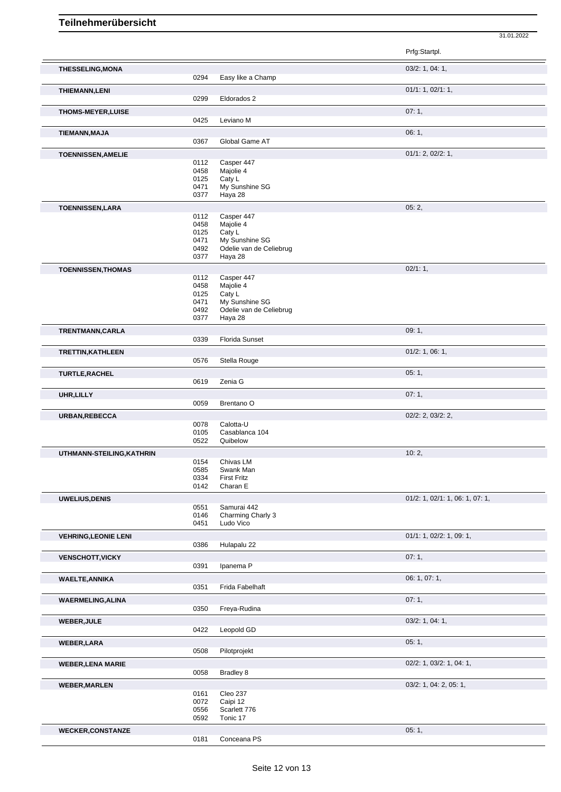|                             |              |                                | Prfg:Startpl.                   |
|-----------------------------|--------------|--------------------------------|---------------------------------|
| <b>THESSELING, MONA</b>     | 0294         | Easy like a Champ              | 03/2: 1, 04: 1,                 |
| <b>THIEMANN,LENI</b>        | 0299         | Eldorados 2                    | 01/1: 1, 02/1: 1,               |
|                             |              |                                |                                 |
| <b>THOMS-MEYER, LUISE</b>   | 0425         | Leviano M                      | 07:1,                           |
| TIEMANN, MAJA               |              |                                | 06:1,                           |
|                             | 0367         | Global Game AT                 |                                 |
| <b>TOENNISSEN, AMELIE</b>   |              |                                | 01/1: 2, 02/2: 1,               |
|                             | 0112         | Casper 447                     |                                 |
|                             | 0458<br>0125 | Majolie 4<br>Caty L            |                                 |
|                             | 0471         | My Sunshine SG                 |                                 |
|                             | 0377         | Haya 28                        |                                 |
| <b>TOENNISSEN,LARA</b>      |              |                                | 05:2,                           |
|                             | 0112         | Casper 447                     |                                 |
|                             | 0458<br>0125 | Majolie 4<br>Caty L            |                                 |
|                             | 0471         | My Sunshine SG                 |                                 |
|                             | 0492         | Odelie van de Celiebrug        |                                 |
|                             | 0377         | Haya 28                        |                                 |
| <b>TOENNISSEN, THOMAS</b>   |              |                                | 02/1:1,                         |
|                             | 0112         | Casper 447                     |                                 |
|                             | 0458<br>0125 | Majolie 4<br>Caty L            |                                 |
|                             | 0471         | My Sunshine SG                 |                                 |
|                             | 0492         | Odelie van de Celiebrug        |                                 |
|                             | 0377         | Haya 28                        |                                 |
| TRENTMANN, CARLA            |              |                                | 09:1,                           |
|                             | 0339         | Florida Sunset                 |                                 |
| TRETTIN, KATHLEEN           |              |                                | $01/2$ : 1, 06: 1,              |
|                             | 0576         | Stella Rouge                   |                                 |
| TURTLE, RACHEL              |              |                                | 05:1,                           |
|                             | 0619         | Zenia G                        |                                 |
| UHR, LILLY                  |              |                                | 07:1,                           |
|                             | 0059         | Brentano <sub>O</sub>          |                                 |
| URBAN, REBECCA              |              |                                | 02/2: 2, 03/2: 2,               |
|                             | 0078<br>0105 | Calotta-U<br>Casablanca 104    |                                 |
|                             | 0522         | Quibelow                       |                                 |
| UTHMANN-STEILING, KATHRIN   |              |                                | 10:2,                           |
|                             | 0154         | Chivas LM                      |                                 |
|                             | 0585         | Swank Man                      |                                 |
|                             | 0334<br>0142 | <b>First Fritz</b><br>Charan E |                                 |
|                             |              |                                |                                 |
| <b>UWELIUS, DENIS</b>       | 0551         | Samurai 442                    | 01/2: 1, 02/1: 1, 06: 1, 07: 1, |
|                             | 0146         | Charming Charly 3              |                                 |
|                             | 0451         | Ludo Vico                      |                                 |
| <b>VEHRING, LEONIE LENI</b> |              |                                | 01/1: 1, 02/2: 1, 09: 1,        |
|                             | 0386         | Hulapalu 22                    |                                 |
| <b>VENSCHOTT, VICKY</b>     |              |                                | 07:1,                           |
|                             | 0391         | Ipanema P                      |                                 |
| <b>WAELTE, ANNIKA</b>       |              |                                | 06: 1, 07: 1,                   |
|                             | 0351         | Frida Fabelhaft                |                                 |
| <b>WAERMELING, ALINA</b>    |              |                                | 07:1,                           |
|                             | 0350         | Freya-Rudina                   |                                 |
| <b>WEBER, JULE</b>          |              |                                | 03/2: 1, 04: 1,                 |
|                             | 0422         | Leopold GD                     |                                 |
| <b>WEBER, LARA</b>          |              |                                | 05:1,                           |
|                             | 0508         | Pilotprojekt                   |                                 |
| <b>WEBER, LENA MARIE</b>    |              |                                | 02/2: 1, 03/2: 1, 04: 1,        |
|                             | 0058         | Bradley 8                      |                                 |
| <b>WEBER, MARLEN</b>        |              |                                | $03/2$ : 1, 04: 2, 05: 1,       |
|                             | 0161         | Cleo 237                       |                                 |
|                             | 0072         | Caipi 12                       |                                 |
|                             | 0556<br>0592 | Scarlett 776<br>Tonic 17       |                                 |
|                             |              |                                |                                 |
| <b>WECKER,CONSTANZE</b>     | 0181         | Conceana PS                    | 05:1,                           |
|                             |              |                                |                                 |